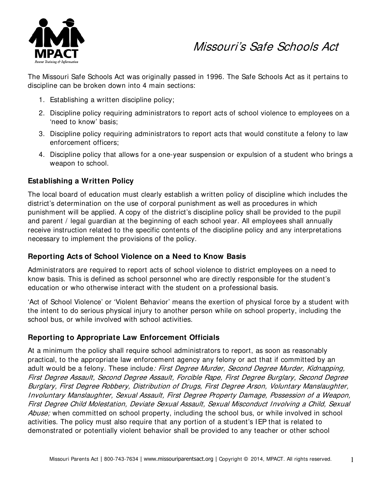

# Missouri's Safe Schools Act

The Missouri Safe Schools Act was originally passed in 1996. The Safe Schools Act as it pertains to discipline can be broken down into 4 main sections:

- 1. Establishing a written discipline policy;
- 2. Discipline policy requiring administrators to report acts of school violence to employees on a 'need to know' basis;
- 3. Discipline policy requiring administrators to report acts that would constitute a felony to law enforcement officers;
- 4. Discipline policy that allows for a one-year suspension or expulsion of a student who brings a weapon to school.

### **Establishing a Written Policy**

The local board of education must clearly establish a written policy of discipline which includes the district's determination on the use of corporal punishment as well as procedures in which punishment will be applied. A copy of the district's discipline policy shall be provided to the pupil and parent / legal guardian at the beginning of each school year. All employees shall annually receive instruction related to the specific contents of the discipline policy and any interpretations necessary to implement the provisions of the policy.

### **Reporting Acts of School Violence on a Need to Know Basis**

Administrators are required to report acts of school violence to district employees on a need to know basis. This is defined as school personnel who are directly responsible for the student's education or who otherwise interact with the student on a professional basis.

'Act of School Violence' or 'Violent Behavior' means the exertion of physical force by a student with the intent to do serious physical injury to another person while on school property, including the school bus, or while involved with school activities.

## **Reporting to Appropriate Law Enforcement Officials**

At a minimum the policy shall require school administrators to report, as soon as reasonably practical, to the appropriate law enforcement agency any felony or act that if committed by an adult would be a felony. These include: First Degree Murder, Second Degree Murder, Kidnapping, First Degree Assault, Second Degree Assault, Forcible Rape, First Degree Burglary, Second Degree Burglary, First Degree Robbery, Distribution of Drugs, First Degree Arson, Voluntary Manslaughter, Involuntary Manslaughter, Sexual Assault, First Degree Property Damage, Possession of a Weapon, First Degree Child Molestation, Deviate Sexual Assault, Sexual Misconduct Involving a Child, Sexual Abuse; when committed on school property, including the school bus, or while involved in school activities. The policy must also require that any portion of a student's IEP that is related to demonstrated or potentially violent behavior shall be provided to any teacher or other school